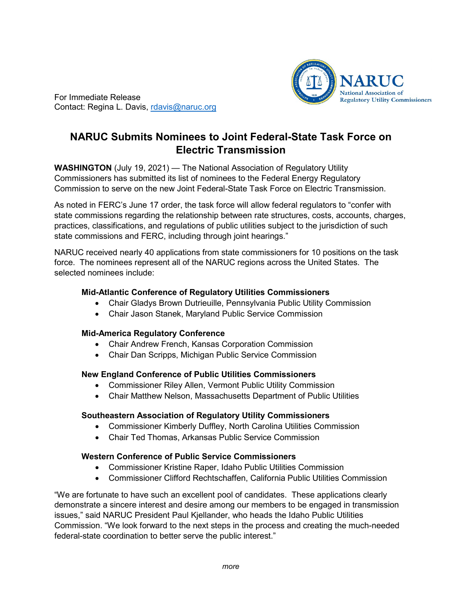

For Immediate Release Contact: Regina L. Davis, [rdavis@naruc.org](mailto:rdavis@naruc.org)

# **NARUC Submits Nominees to Joint Federal-State Task Force on Electric Transmission**

**WASHINGTON** (July 19, 2021) — The National Association of Regulatory Utility Commissioners has submitted its list of nominees to the Federal Energy Regulatory Commission to serve on the new Joint Federal-State Task Force on Electric Transmission.

As noted in FERC's June 17 order, the task force will allow federal regulators to "confer with state commissions regarding the relationship between rate structures, costs, accounts, charges, practices, classifications, and regulations of public utilities subject to the jurisdiction of such state commissions and FERC, including through joint hearings."

NARUC received nearly 40 applications from state commissioners for 10 positions on the task force. The nominees represent all of the NARUC regions across the United States. The selected nominees include:

## **Mid-Atlantic Conference of Regulatory Utilities Commissioners**

- Chair Gladys Brown Dutrieuille, Pennsylvania Public Utility Commission
- Chair Jason Stanek, Maryland Public Service Commission

### **Mid-America Regulatory Conference**

- Chair Andrew French, Kansas Corporation Commission
- Chair Dan Scripps, Michigan Public Service Commission

### **New England Conference of Public Utilities Commissioners**

- Commissioner Riley Allen, Vermont Public Utility Commission
- Chair Matthew Nelson, Massachusetts Department of Public Utilities

### **Southeastern Association of Regulatory Utility Commissioners**

- Commissioner Kimberly Duffley, North Carolina Utilities Commission
- Chair Ted Thomas, Arkansas Public Service Commission

### **Western Conference of Public Service Commissioners**

- Commissioner Kristine Raper, Idaho Public Utilities Commission
- Commissioner Clifford Rechtschaffen, California Public Utilities Commission

"We are fortunate to have such an excellent pool of candidates. These applications clearly demonstrate a sincere interest and desire among our members to be engaged in transmission issues," said NARUC President Paul Kjellander, who heads the Idaho Public Utilities Commission. "We look forward to the next steps in the process and creating the much-needed federal-state coordination to better serve the public interest."